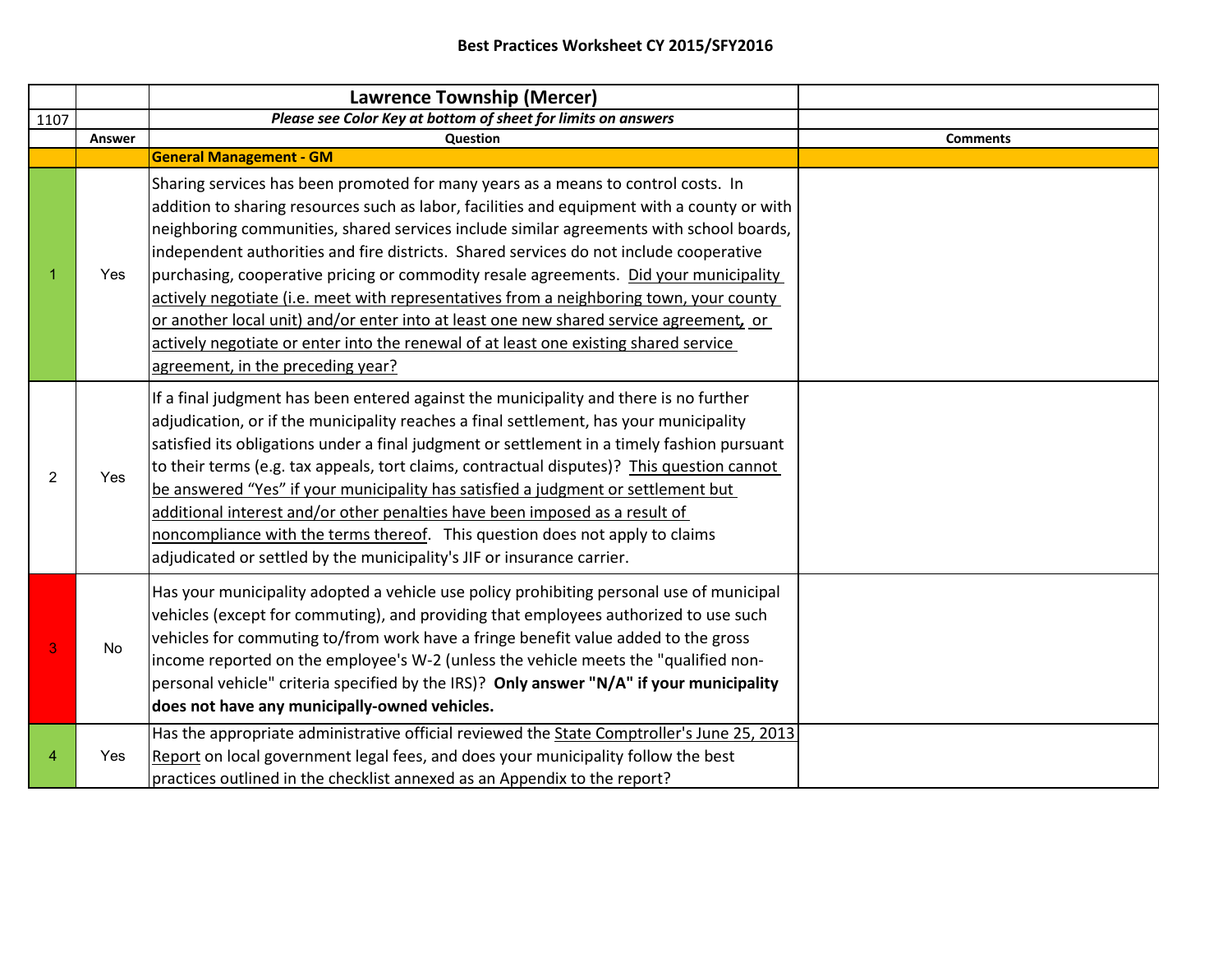|                |        | <b>Lawrence Township (Mercer)</b>                                                                                                                                                                                                                                                                                                                                                                                                                                                                                                                                                                                                                                                                                                                                                |                 |
|----------------|--------|----------------------------------------------------------------------------------------------------------------------------------------------------------------------------------------------------------------------------------------------------------------------------------------------------------------------------------------------------------------------------------------------------------------------------------------------------------------------------------------------------------------------------------------------------------------------------------------------------------------------------------------------------------------------------------------------------------------------------------------------------------------------------------|-----------------|
| 1107           |        | Please see Color Key at bottom of sheet for limits on answers                                                                                                                                                                                                                                                                                                                                                                                                                                                                                                                                                                                                                                                                                                                    |                 |
|                | Answer | Question                                                                                                                                                                                                                                                                                                                                                                                                                                                                                                                                                                                                                                                                                                                                                                         | <b>Comments</b> |
|                |        | <b>General Management - GM</b>                                                                                                                                                                                                                                                                                                                                                                                                                                                                                                                                                                                                                                                                                                                                                   |                 |
|                | Yes    | Sharing services has been promoted for many years as a means to control costs. In<br>addition to sharing resources such as labor, facilities and equipment with a county or with<br>neighboring communities, shared services include similar agreements with school boards,<br>independent authorities and fire districts. Shared services do not include cooperative<br>purchasing, cooperative pricing or commodity resale agreements. Did your municipality<br>actively negotiate (i.e. meet with representatives from a neighboring town, your county<br>or another local unit) and/or enter into at least one new shared service agreement, or<br>actively negotiate or enter into the renewal of at least one existing shared service<br>agreement, in the preceding year? |                 |
| $\overline{2}$ | Yes    | If a final judgment has been entered against the municipality and there is no further<br>adjudication, or if the municipality reaches a final settlement, has your municipality<br>satisfied its obligations under a final judgment or settlement in a timely fashion pursuant<br>to their terms (e.g. tax appeals, tort claims, contractual disputes)? This question cannot<br>be answered "Yes" if your municipality has satisfied a judgment or settlement but<br>additional interest and/or other penalties have been imposed as a result of<br>noncompliance with the terms thereof. This question does not apply to claims<br>adjudicated or settled by the municipality's JIF or insurance carrier.                                                                       |                 |
| 3              | No     | Has your municipality adopted a vehicle use policy prohibiting personal use of municipal<br>vehicles (except for commuting), and providing that employees authorized to use such<br>vehicles for commuting to/from work have a fringe benefit value added to the gross<br>income reported on the employee's W-2 (unless the vehicle meets the "qualified non-<br>personal vehicle" criteria specified by the IRS)? Only answer "N/A" if your municipality<br>does not have any municipally-owned vehicles.                                                                                                                                                                                                                                                                       |                 |
|                | Yes    | Has the appropriate administrative official reviewed the State Comptroller's June 25, 2013<br>Report on local government legal fees, and does your municipality follow the best<br>practices outlined in the checklist annexed as an Appendix to the report?                                                                                                                                                                                                                                                                                                                                                                                                                                                                                                                     |                 |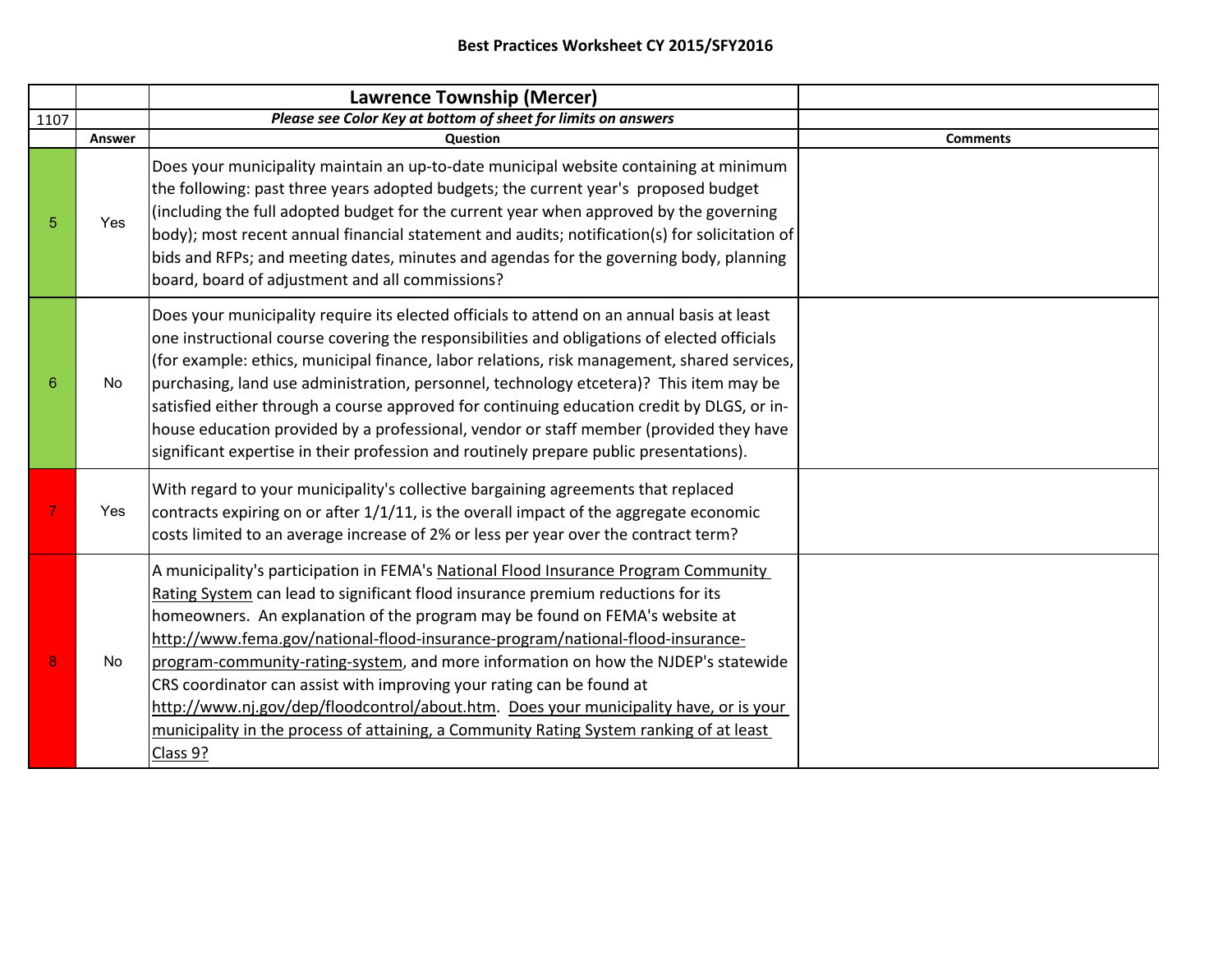|      |        | <b>Lawrence Township (Mercer)</b>                                                                                                                                                                                                                                                                                                                                                                                                                                                                                                                                                                                                                                                                       |                 |
|------|--------|---------------------------------------------------------------------------------------------------------------------------------------------------------------------------------------------------------------------------------------------------------------------------------------------------------------------------------------------------------------------------------------------------------------------------------------------------------------------------------------------------------------------------------------------------------------------------------------------------------------------------------------------------------------------------------------------------------|-----------------|
| 1107 |        | Please see Color Key at bottom of sheet for limits on answers                                                                                                                                                                                                                                                                                                                                                                                                                                                                                                                                                                                                                                           |                 |
|      | Answer | Question                                                                                                                                                                                                                                                                                                                                                                                                                                                                                                                                                                                                                                                                                                | <b>Comments</b> |
|      | Yes    | Does your municipality maintain an up-to-date municipal website containing at minimum<br>the following: past three years adopted budgets; the current year's proposed budget<br>(including the full adopted budget for the current year when approved by the governing<br>body); most recent annual financial statement and audits; notification(s) for solicitation of<br>bids and RFPs; and meeting dates, minutes and agendas for the governing body, planning<br>board, board of adjustment and all commissions?                                                                                                                                                                                    |                 |
|      | No     | Does your municipality require its elected officials to attend on an annual basis at least<br>one instructional course covering the responsibilities and obligations of elected officials<br>(for example: ethics, municipal finance, labor relations, risk management, shared services,<br>purchasing, land use administration, personnel, technology etcetera)? This item may be<br>satisfied either through a course approved for continuing education credit by DLGS, or in-<br>house education provided by a professional, vendor or staff member (provided they have<br>significant expertise in their profession and routinely prepare public presentations).                                    |                 |
|      | Yes    | With regard to your municipality's collective bargaining agreements that replaced<br>contracts expiring on or after 1/1/11, is the overall impact of the aggregate economic<br>costs limited to an average increase of 2% or less per year over the contract term?                                                                                                                                                                                                                                                                                                                                                                                                                                      |                 |
|      | No     | A municipality's participation in FEMA's National Flood Insurance Program Community<br>Rating System can lead to significant flood insurance premium reductions for its<br>homeowners. An explanation of the program may be found on FEMA's website at<br>http://www.fema.gov/national-flood-insurance-program/national-flood-insurance-<br>program-community-rating-system, and more information on how the NJDEP's statewide<br>CRS coordinator can assist with improving your rating can be found at<br>http://www.nj.gov/dep/floodcontrol/about.htm. Does your municipality have, or is your<br>municipality in the process of attaining, a Community Rating System ranking of at least<br>Class 9? |                 |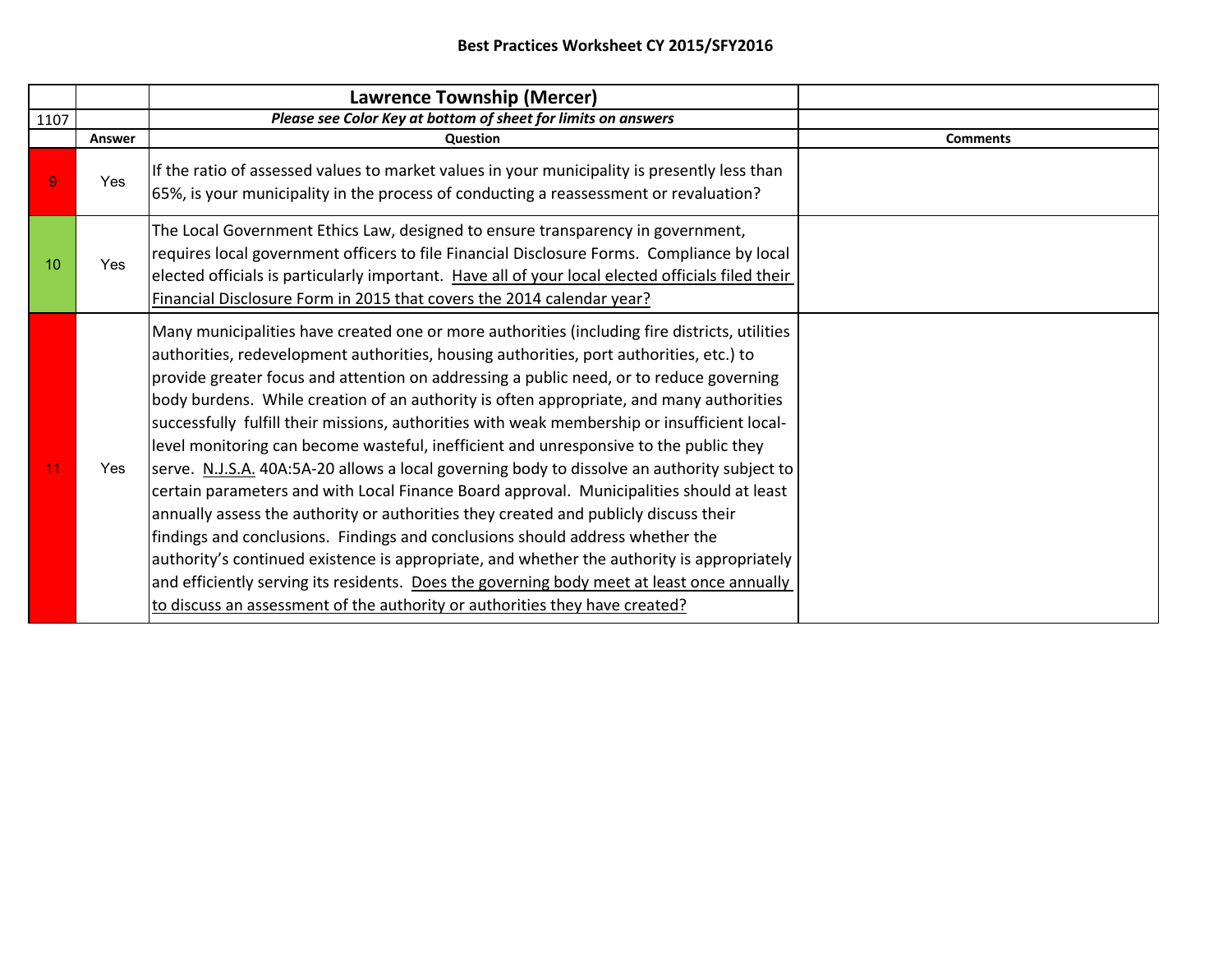|      |            | <b>Lawrence Township (Mercer)</b>                                                                                                                                                                                                                                                                                                                                                                                                                                                                                                                                                                                                                                                                                                                                                                                                                                                                                                                                                                                                                                                                                                                                                                                      |                 |
|------|------------|------------------------------------------------------------------------------------------------------------------------------------------------------------------------------------------------------------------------------------------------------------------------------------------------------------------------------------------------------------------------------------------------------------------------------------------------------------------------------------------------------------------------------------------------------------------------------------------------------------------------------------------------------------------------------------------------------------------------------------------------------------------------------------------------------------------------------------------------------------------------------------------------------------------------------------------------------------------------------------------------------------------------------------------------------------------------------------------------------------------------------------------------------------------------------------------------------------------------|-----------------|
| 1107 |            | Please see Color Key at bottom of sheet for limits on answers                                                                                                                                                                                                                                                                                                                                                                                                                                                                                                                                                                                                                                                                                                                                                                                                                                                                                                                                                                                                                                                                                                                                                          |                 |
|      | Answer     | Question                                                                                                                                                                                                                                                                                                                                                                                                                                                                                                                                                                                                                                                                                                                                                                                                                                                                                                                                                                                                                                                                                                                                                                                                               | <b>Comments</b> |
| 9    | <b>Yes</b> | If the ratio of assessed values to market values in your municipality is presently less than<br>65%, is your municipality in the process of conducting a reassessment or revaluation?                                                                                                                                                                                                                                                                                                                                                                                                                                                                                                                                                                                                                                                                                                                                                                                                                                                                                                                                                                                                                                  |                 |
| 10   | Yes        | The Local Government Ethics Law, designed to ensure transparency in government,<br>requires local government officers to file Financial Disclosure Forms. Compliance by local<br>elected officials is particularly important. Have all of your local elected officials filed their<br>Financial Disclosure Form in 2015 that covers the 2014 calendar year?                                                                                                                                                                                                                                                                                                                                                                                                                                                                                                                                                                                                                                                                                                                                                                                                                                                            |                 |
| 11   | Yes        | Many municipalities have created one or more authorities (including fire districts, utilities<br>authorities, redevelopment authorities, housing authorities, port authorities, etc.) to<br>provide greater focus and attention on addressing a public need, or to reduce governing<br>body burdens. While creation of an authority is often appropriate, and many authorities<br>successfully fulfill their missions, authorities with weak membership or insufficient local-<br>level monitoring can become wasteful, inefficient and unresponsive to the public they<br>serve. N.J.S.A. 40A:5A-20 allows a local governing body to dissolve an authority subject to<br>certain parameters and with Local Finance Board approval. Municipalities should at least<br>annually assess the authority or authorities they created and publicly discuss their<br>findings and conclusions. Findings and conclusions should address whether the<br>authority's continued existence is appropriate, and whether the authority is appropriately<br>and efficiently serving its residents. Does the governing body meet at least once annually<br>to discuss an assessment of the authority or authorities they have created? |                 |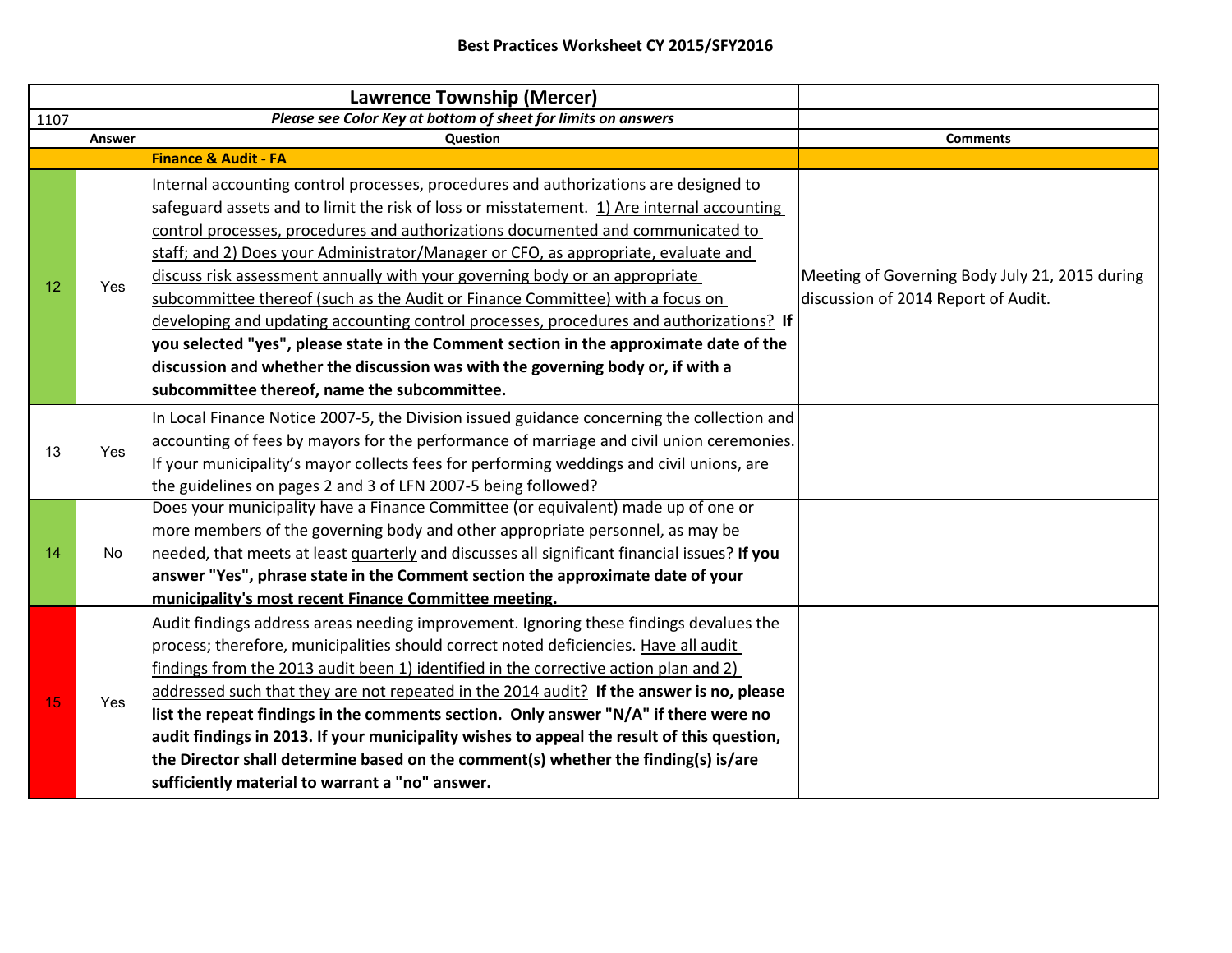|      |        | <b>Lawrence Township (Mercer)</b>                                                                                                                                                                                                                                                                                                                                                                                                                                                                                                                                                                                                                                                                                                                                                                                                                   |                                                                                       |
|------|--------|-----------------------------------------------------------------------------------------------------------------------------------------------------------------------------------------------------------------------------------------------------------------------------------------------------------------------------------------------------------------------------------------------------------------------------------------------------------------------------------------------------------------------------------------------------------------------------------------------------------------------------------------------------------------------------------------------------------------------------------------------------------------------------------------------------------------------------------------------------|---------------------------------------------------------------------------------------|
| 1107 |        | Please see Color Key at bottom of sheet for limits on answers                                                                                                                                                                                                                                                                                                                                                                                                                                                                                                                                                                                                                                                                                                                                                                                       |                                                                                       |
|      | Answer | Question                                                                                                                                                                                                                                                                                                                                                                                                                                                                                                                                                                                                                                                                                                                                                                                                                                            | <b>Comments</b>                                                                       |
|      |        | Finance & Audit - FA                                                                                                                                                                                                                                                                                                                                                                                                                                                                                                                                                                                                                                                                                                                                                                                                                                |                                                                                       |
| 12   | Yes    | Internal accounting control processes, procedures and authorizations are designed to<br>safeguard assets and to limit the risk of loss or misstatement. 1) Are internal accounting<br>control processes, procedures and authorizations documented and communicated to<br>staff; and 2) Does your Administrator/Manager or CFO, as appropriate, evaluate and<br>discuss risk assessment annually with your governing body or an appropriate<br>subcommittee thereof (such as the Audit or Finance Committee) with a focus on<br>developing and updating accounting control processes, procedures and authorizations? If<br>you selected "yes", please state in the Comment section in the approximate date of the<br>discussion and whether the discussion was with the governing body or, if with a<br>subcommittee thereof, name the subcommittee. | Meeting of Governing Body July 21, 2015 during<br>discussion of 2014 Report of Audit. |
| 13   | Yes    | In Local Finance Notice 2007-5, the Division issued guidance concerning the collection and<br>accounting of fees by mayors for the performance of marriage and civil union ceremonies.<br>If your municipality's mayor collects fees for performing weddings and civil unions, are<br>the guidelines on pages 2 and 3 of LFN 2007-5 being followed?                                                                                                                                                                                                                                                                                                                                                                                                                                                                                                 |                                                                                       |
| 14   | No     | Does your municipality have a Finance Committee (or equivalent) made up of one or<br>more members of the governing body and other appropriate personnel, as may be<br>needed, that meets at least quarterly and discusses all significant financial issues? If you<br>answer "Yes", phrase state in the Comment section the approximate date of your<br>municipality's most recent Finance Committee meeting.                                                                                                                                                                                                                                                                                                                                                                                                                                       |                                                                                       |
| 15   | Yes    | Audit findings address areas needing improvement. Ignoring these findings devalues the<br>process; therefore, municipalities should correct noted deficiencies. Have all audit<br>findings from the 2013 audit been 1) identified in the corrective action plan and 2)<br>addressed such that they are not repeated in the 2014 audit? If the answer is no, please<br>list the repeat findings in the comments section. Only answer "N/A" if there were no<br>audit findings in 2013. If your municipality wishes to appeal the result of this question,<br>the Director shall determine based on the comment(s) whether the finding(s) is/are<br>sufficiently material to warrant a "no" answer.                                                                                                                                                   |                                                                                       |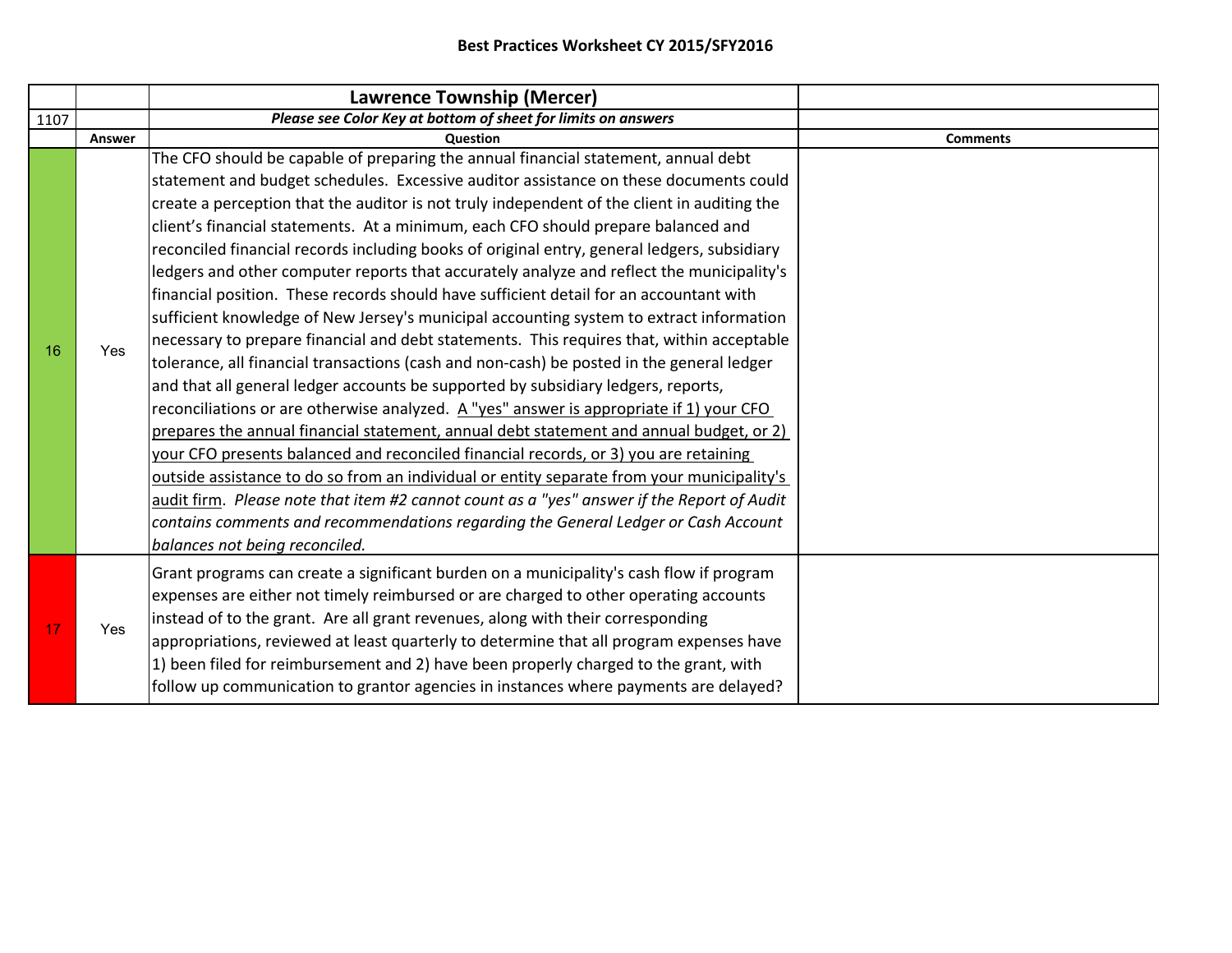|      |            | Lawrence Township (Mercer)                                                                                                                                                                                                                                                                                                                                                                                                                                                                                                                                                                                                                                                                                                                                                                                                                                                                                                                                                                                                                                                                                                                                                                                                                                                                                                                                                                                                                                                                                                                                                                                                        |                 |
|------|------------|-----------------------------------------------------------------------------------------------------------------------------------------------------------------------------------------------------------------------------------------------------------------------------------------------------------------------------------------------------------------------------------------------------------------------------------------------------------------------------------------------------------------------------------------------------------------------------------------------------------------------------------------------------------------------------------------------------------------------------------------------------------------------------------------------------------------------------------------------------------------------------------------------------------------------------------------------------------------------------------------------------------------------------------------------------------------------------------------------------------------------------------------------------------------------------------------------------------------------------------------------------------------------------------------------------------------------------------------------------------------------------------------------------------------------------------------------------------------------------------------------------------------------------------------------------------------------------------------------------------------------------------|-----------------|
| 1107 |            | Please see Color Key at bottom of sheet for limits on answers                                                                                                                                                                                                                                                                                                                                                                                                                                                                                                                                                                                                                                                                                                                                                                                                                                                                                                                                                                                                                                                                                                                                                                                                                                                                                                                                                                                                                                                                                                                                                                     |                 |
|      | Answer     | <b>Question</b>                                                                                                                                                                                                                                                                                                                                                                                                                                                                                                                                                                                                                                                                                                                                                                                                                                                                                                                                                                                                                                                                                                                                                                                                                                                                                                                                                                                                                                                                                                                                                                                                                   | <b>Comments</b> |
| 16   | Yes        | The CFO should be capable of preparing the annual financial statement, annual debt<br>statement and budget schedules. Excessive auditor assistance on these documents could<br>create a perception that the auditor is not truly independent of the client in auditing the<br>client's financial statements. At a minimum, each CFO should prepare balanced and<br>reconciled financial records including books of original entry, general ledgers, subsidiary<br>ledgers and other computer reports that accurately analyze and reflect the municipality's<br>financial position. These records should have sufficient detail for an accountant with<br>sufficient knowledge of New Jersey's municipal accounting system to extract information<br>necessary to prepare financial and debt statements. This requires that, within acceptable<br>tolerance, all financial transactions (cash and non-cash) be posted in the general ledger<br>and that all general ledger accounts be supported by subsidiary ledgers, reports,<br>reconciliations or are otherwise analyzed. A "yes" answer is appropriate if 1) your CFO<br>prepares the annual financial statement, annual debt statement and annual budget, or 2)<br>your CFO presents balanced and reconciled financial records, or 3) you are retaining<br>outside assistance to do so from an individual or entity separate from your municipality's<br>audit firm. Please note that item #2 cannot count as a "yes" answer if the Report of Audit<br>contains comments and recommendations regarding the General Ledger or Cash Account<br>balances not being reconciled. |                 |
| 17   |            | Grant programs can create a significant burden on a municipality's cash flow if program<br>expenses are either not timely reimbursed or are charged to other operating accounts                                                                                                                                                                                                                                                                                                                                                                                                                                                                                                                                                                                                                                                                                                                                                                                                                                                                                                                                                                                                                                                                                                                                                                                                                                                                                                                                                                                                                                                   |                 |
|      | <b>Yes</b> | instead of to the grant. Are all grant revenues, along with their corresponding<br>appropriations, reviewed at least quarterly to determine that all program expenses have<br>1) been filed for reimbursement and 2) have been properly charged to the grant, with<br>follow up communication to grantor agencies in instances where payments are delayed?                                                                                                                                                                                                                                                                                                                                                                                                                                                                                                                                                                                                                                                                                                                                                                                                                                                                                                                                                                                                                                                                                                                                                                                                                                                                        |                 |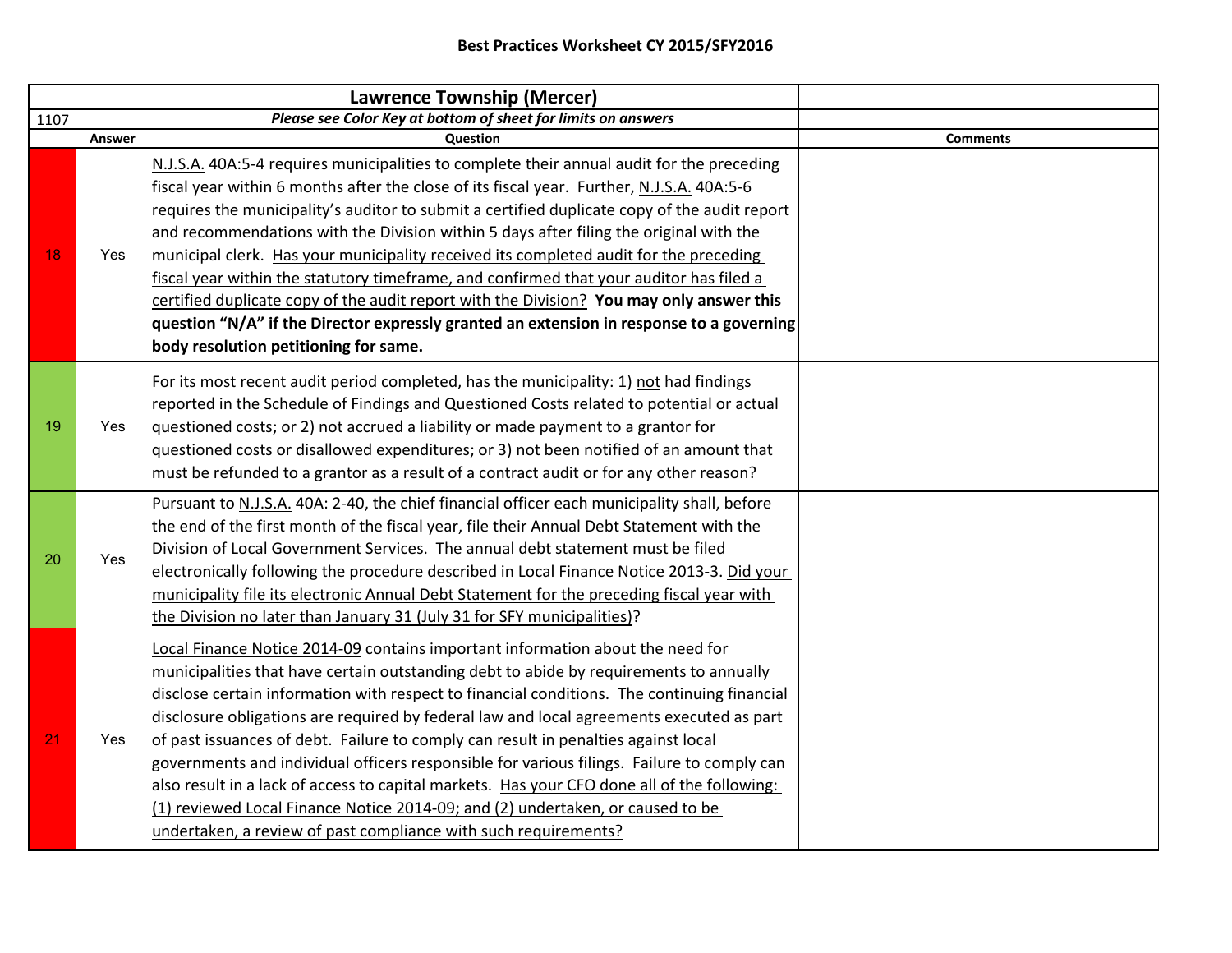|      |        | <b>Lawrence Township (Mercer)</b>                                                                                                                                                                                                                                                                                                                                                                                                                                                                                                                                                                                                                                                                                                                                                                           |                 |
|------|--------|-------------------------------------------------------------------------------------------------------------------------------------------------------------------------------------------------------------------------------------------------------------------------------------------------------------------------------------------------------------------------------------------------------------------------------------------------------------------------------------------------------------------------------------------------------------------------------------------------------------------------------------------------------------------------------------------------------------------------------------------------------------------------------------------------------------|-----------------|
| 1107 |        | Please see Color Key at bottom of sheet for limits on answers                                                                                                                                                                                                                                                                                                                                                                                                                                                                                                                                                                                                                                                                                                                                               |                 |
|      | Answer | Question                                                                                                                                                                                                                                                                                                                                                                                                                                                                                                                                                                                                                                                                                                                                                                                                    | <b>Comments</b> |
| 18   | Yes    | N.J.S.A. 40A:5-4 requires municipalities to complete their annual audit for the preceding<br>fiscal year within 6 months after the close of its fiscal year. Further, N.J.S.A. 40A:5-6<br>requires the municipality's auditor to submit a certified duplicate copy of the audit report<br>and recommendations with the Division within 5 days after filing the original with the<br>municipal clerk. Has your municipality received its completed audit for the preceding<br>fiscal year within the statutory timeframe, and confirmed that your auditor has filed a<br>certified duplicate copy of the audit report with the Division? You may only answer this<br>question "N/A" if the Director expressly granted an extension in response to a governing<br>body resolution petitioning for same.       |                 |
| 19   | Yes    | For its most recent audit period completed, has the municipality: 1) not had findings<br>reported in the Schedule of Findings and Questioned Costs related to potential or actual<br>questioned costs; or 2) not accrued a liability or made payment to a grantor for<br>questioned costs or disallowed expenditures; or 3) not been notified of an amount that<br>must be refunded to a grantor as a result of a contract audit or for any other reason?                                                                                                                                                                                                                                                                                                                                                   |                 |
| 20   | Yes    | Pursuant to N.J.S.A. 40A: 2-40, the chief financial officer each municipality shall, before<br>the end of the first month of the fiscal year, file their Annual Debt Statement with the<br>Division of Local Government Services. The annual debt statement must be filed<br>electronically following the procedure described in Local Finance Notice 2013-3. Did your<br>municipality file its electronic Annual Debt Statement for the preceding fiscal year with<br>the Division no later than January 31 (July 31 for SFY municipalities)?                                                                                                                                                                                                                                                              |                 |
| 21   | Yes    | Local Finance Notice 2014-09 contains important information about the need for<br>municipalities that have certain outstanding debt to abide by requirements to annually<br>disclose certain information with respect to financial conditions. The continuing financial<br>disclosure obligations are required by federal law and local agreements executed as part<br>of past issuances of debt. Failure to comply can result in penalties against local<br>governments and individual officers responsible for various filings. Failure to comply can<br>also result in a lack of access to capital markets. Has your CFO done all of the following:<br>(1) reviewed Local Finance Notice 2014-09; and (2) undertaken, or caused to be<br>undertaken, a review of past compliance with such requirements? |                 |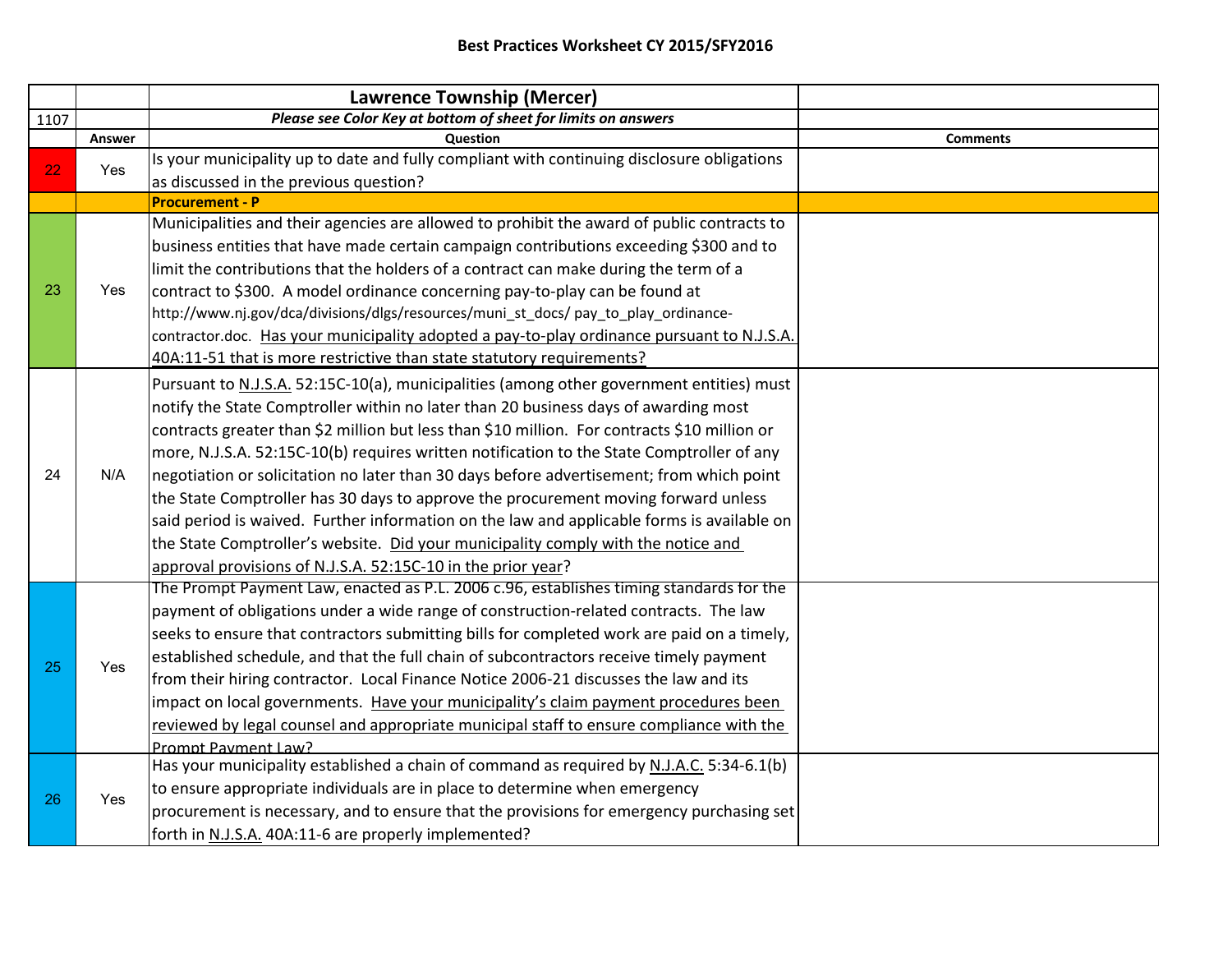|      |        | <b>Lawrence Township (Mercer)</b>                                                            |                 |
|------|--------|----------------------------------------------------------------------------------------------|-----------------|
| 1107 |        | Please see Color Key at bottom of sheet for limits on answers                                |                 |
|      | Answer | Question                                                                                     | <b>Comments</b> |
| 22   | Yes    | Is your municipality up to date and fully compliant with continuing disclosure obligations   |                 |
|      |        | as discussed in the previous question?                                                       |                 |
|      |        | <b>Procurement - P</b>                                                                       |                 |
|      |        | Municipalities and their agencies are allowed to prohibit the award of public contracts to   |                 |
|      |        | business entities that have made certain campaign contributions exceeding \$300 and to       |                 |
|      |        | limit the contributions that the holders of a contract can make during the term of a         |                 |
| 23   | Yes    | contract to \$300. A model ordinance concerning pay-to-play can be found at                  |                 |
|      |        | http://www.nj.gov/dca/divisions/dlgs/resources/muni_st_docs/ pay_to_play_ordinance-          |                 |
|      |        | contractor.doc. Has your municipality adopted a pay-to-play ordinance pursuant to N.J.S.A.   |                 |
|      |        | 40A:11-51 that is more restrictive than state statutory requirements?                        |                 |
|      |        | Pursuant to N.J.S.A. 52:15C-10(a), municipalities (among other government entities) must     |                 |
|      |        | notify the State Comptroller within no later than 20 business days of awarding most          |                 |
|      |        | contracts greater than \$2 million but less than \$10 million. For contracts \$10 million or |                 |
|      |        | more, N.J.S.A. 52:15C-10(b) requires written notification to the State Comptroller of any    |                 |
| 24   | N/A    | negotiation or solicitation no later than 30 days before advertisement; from which point     |                 |
|      |        | the State Comptroller has 30 days to approve the procurement moving forward unless           |                 |
|      |        | said period is waived. Further information on the law and applicable forms is available on   |                 |
|      |        | the State Comptroller's website. Did your municipality comply with the notice and            |                 |
|      |        | approval provisions of N.J.S.A. 52:15C-10 in the prior year?                                 |                 |
|      |        | The Prompt Payment Law, enacted as P.L. 2006 c.96, establishes timing standards for the      |                 |
|      |        | payment of obligations under a wide range of construction-related contracts. The law         |                 |
|      |        | seeks to ensure that contractors submitting bills for completed work are paid on a timely,   |                 |
| 25   | Yes    | established schedule, and that the full chain of subcontractors receive timely payment       |                 |
|      |        | from their hiring contractor. Local Finance Notice 2006-21 discusses the law and its         |                 |
|      |        | impact on local governments. Have your municipality's claim payment procedures been          |                 |
|      |        | reviewed by legal counsel and appropriate municipal staff to ensure compliance with the      |                 |
|      |        | Prompt Payment Law?                                                                          |                 |
|      |        | Has your municipality established a chain of command as required by N.J.A.C. 5:34-6.1(b)     |                 |
| 26   | Yes    | to ensure appropriate individuals are in place to determine when emergency                   |                 |
|      |        | procurement is necessary, and to ensure that the provisions for emergency purchasing set     |                 |
|      |        | forth in N.J.S.A. 40A:11-6 are properly implemented?                                         |                 |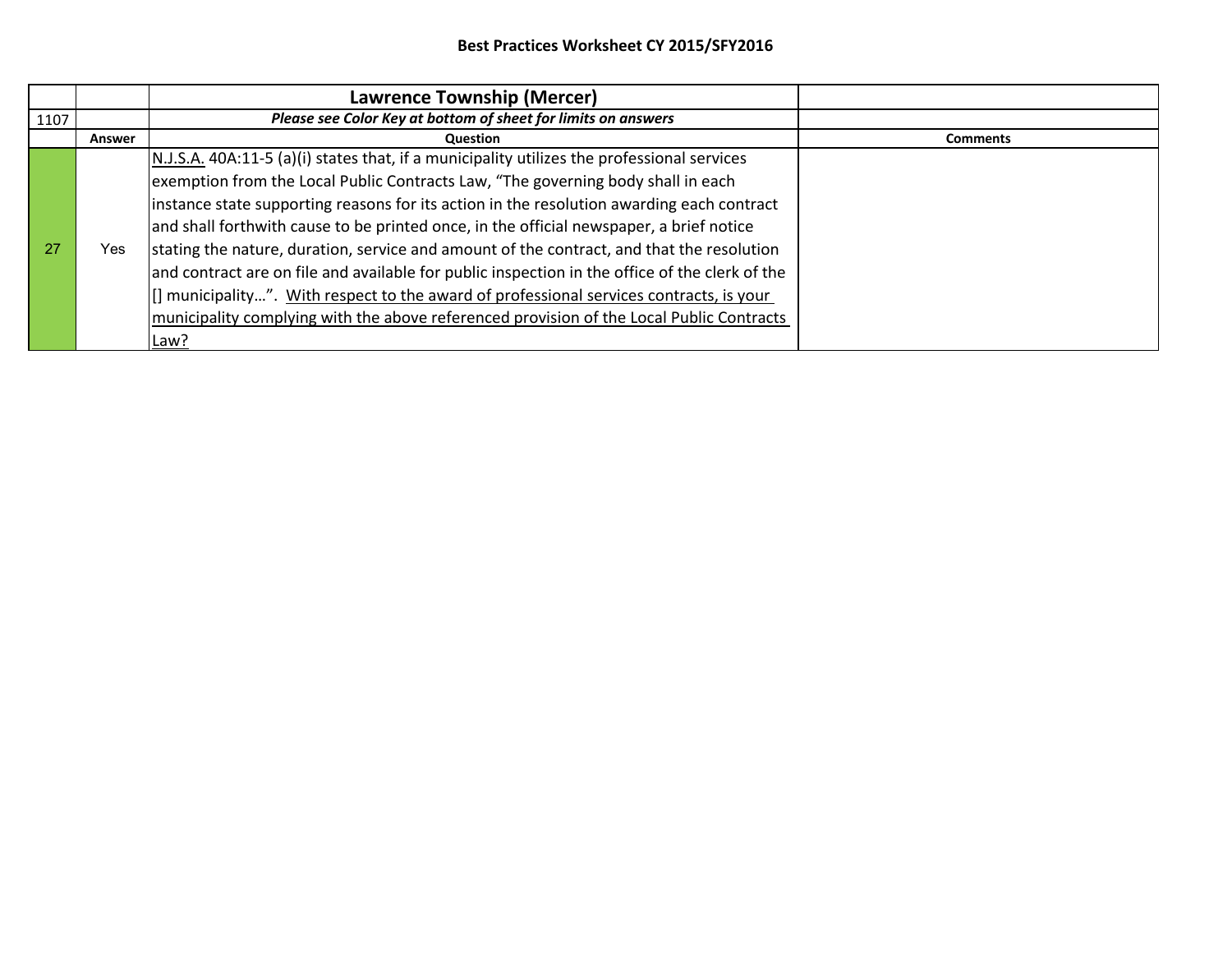|       |        | <b>Lawrence Township (Mercer)</b>                                                              |                 |
|-------|--------|------------------------------------------------------------------------------------------------|-----------------|
| 1107  |        | Please see Color Key at bottom of sheet for limits on answers                                  |                 |
|       | Answer | <b>Question</b>                                                                                | <b>Comments</b> |
|       |        | $N.J.S.A.$ 40A:11-5 (a)(i) states that, if a municipality utilizes the professional services   |                 |
|       |        | exemption from the Local Public Contracts Law, "The governing body shall in each               |                 |
|       |        | instance state supporting reasons for its action in the resolution awarding each contract      |                 |
|       |        | and shall forthwith cause to be printed once, in the official newspaper, a brief notice        |                 |
| $-27$ | Yes    | stating the nature, duration, service and amount of the contract, and that the resolution      |                 |
|       |        | and contract are on file and available for public inspection in the office of the clerk of the |                 |
|       |        | [] municipality". With respect to the award of professional services contracts, is your        |                 |
|       |        | municipality complying with the above referenced provision of the Local Public Contracts       |                 |
|       |        | Law?                                                                                           |                 |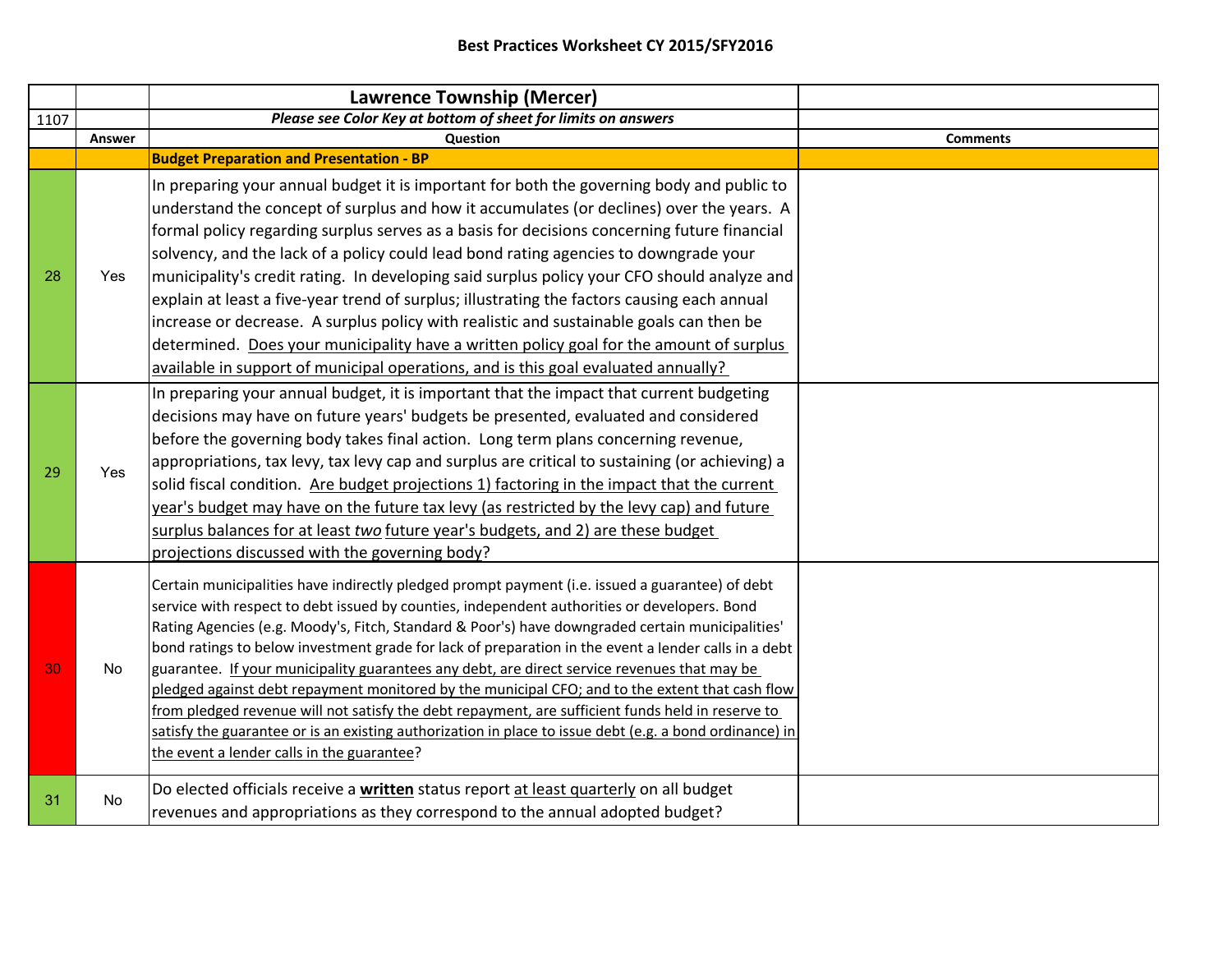|      |        | <b>Lawrence Township (Mercer)</b>                                                                                                                                                                                                                                                                                                                                                                                                                                                                                                                                                                                                                                                                                                                                                                                                                                            |                 |
|------|--------|------------------------------------------------------------------------------------------------------------------------------------------------------------------------------------------------------------------------------------------------------------------------------------------------------------------------------------------------------------------------------------------------------------------------------------------------------------------------------------------------------------------------------------------------------------------------------------------------------------------------------------------------------------------------------------------------------------------------------------------------------------------------------------------------------------------------------------------------------------------------------|-----------------|
| 1107 |        | Please see Color Key at bottom of sheet for limits on answers                                                                                                                                                                                                                                                                                                                                                                                                                                                                                                                                                                                                                                                                                                                                                                                                                |                 |
|      | Answer | Question                                                                                                                                                                                                                                                                                                                                                                                                                                                                                                                                                                                                                                                                                                                                                                                                                                                                     | <b>Comments</b> |
|      |        | <b>Budget Preparation and Presentation - BP</b>                                                                                                                                                                                                                                                                                                                                                                                                                                                                                                                                                                                                                                                                                                                                                                                                                              |                 |
| 28   | Yes    | In preparing your annual budget it is important for both the governing body and public to<br>understand the concept of surplus and how it accumulates (or declines) over the years. A<br>formal policy regarding surplus serves as a basis for decisions concerning future financial<br>solvency, and the lack of a policy could lead bond rating agencies to downgrade your<br>municipality's credit rating. In developing said surplus policy your CFO should analyze and<br>explain at least a five-year trend of surplus; illustrating the factors causing each annual                                                                                                                                                                                                                                                                                                   |                 |
|      |        | increase or decrease. A surplus policy with realistic and sustainable goals can then be<br>determined. Does your municipality have a written policy goal for the amount of surplus<br>available in support of municipal operations, and is this goal evaluated annually?                                                                                                                                                                                                                                                                                                                                                                                                                                                                                                                                                                                                     |                 |
| 29   | Yes    | In preparing your annual budget, it is important that the impact that current budgeting<br>decisions may have on future years' budgets be presented, evaluated and considered<br>before the governing body takes final action. Long term plans concerning revenue,<br>appropriations, tax levy, tax levy cap and surplus are critical to sustaining (or achieving) a<br>solid fiscal condition. Are budget projections 1) factoring in the impact that the current<br>year's budget may have on the future tax levy (as restricted by the levy cap) and future<br>surplus balances for at least two future year's budgets, and 2) are these budget<br>projections discussed with the governing body?                                                                                                                                                                         |                 |
| 30   | No     | Certain municipalities have indirectly pledged prompt payment (i.e. issued a guarantee) of debt<br>service with respect to debt issued by counties, independent authorities or developers. Bond<br>Rating Agencies (e.g. Moody's, Fitch, Standard & Poor's) have downgraded certain municipalities'<br>bond ratings to below investment grade for lack of preparation in the event a lender calls in a debt<br>guarantee. If your municipality guarantees any debt, are direct service revenues that may be<br>pledged against debt repayment monitored by the municipal CFO; and to the extent that cash flow<br>from pledged revenue will not satisfy the debt repayment, are sufficient funds held in reserve to<br>satisfy the guarantee or is an existing authorization in place to issue debt (e.g. a bond ordinance) in<br>the event a lender calls in the guarantee? |                 |
| 31   | No     | Do elected officials receive a written status report at least quarterly on all budget<br>revenues and appropriations as they correspond to the annual adopted budget?                                                                                                                                                                                                                                                                                                                                                                                                                                                                                                                                                                                                                                                                                                        |                 |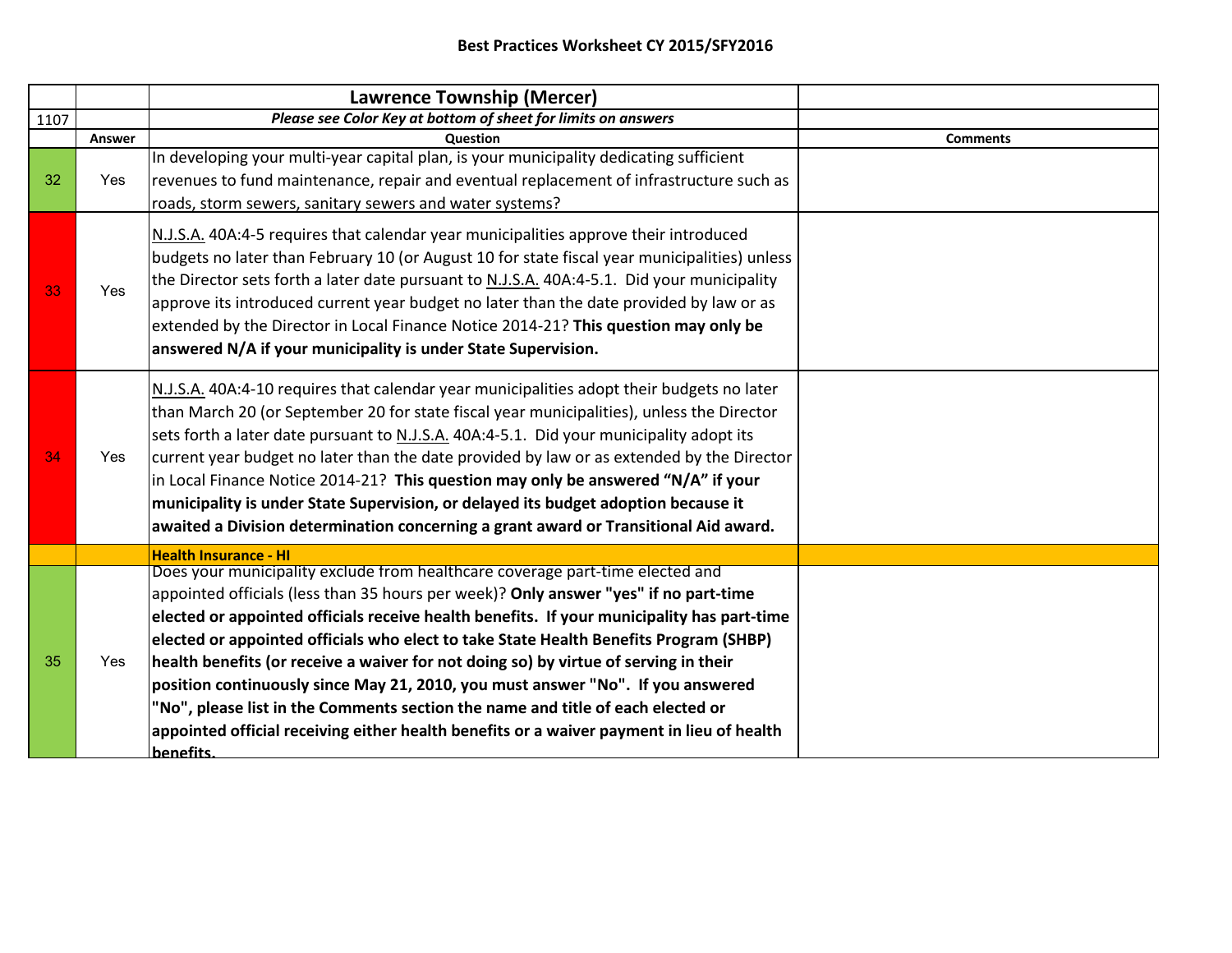|      |        | <b>Lawrence Township (Mercer)</b>                                                                                                                                                                                                                                                                                                                                                                                                                                                                                                                                                                                                                                                                                                          |                 |
|------|--------|--------------------------------------------------------------------------------------------------------------------------------------------------------------------------------------------------------------------------------------------------------------------------------------------------------------------------------------------------------------------------------------------------------------------------------------------------------------------------------------------------------------------------------------------------------------------------------------------------------------------------------------------------------------------------------------------------------------------------------------------|-----------------|
| 1107 |        | Please see Color Key at bottom of sheet for limits on answers                                                                                                                                                                                                                                                                                                                                                                                                                                                                                                                                                                                                                                                                              |                 |
|      | Answer | Question                                                                                                                                                                                                                                                                                                                                                                                                                                                                                                                                                                                                                                                                                                                                   | <b>Comments</b> |
| 32   | Yes    | In developing your multi-year capital plan, is your municipality dedicating sufficient<br>revenues to fund maintenance, repair and eventual replacement of infrastructure such as<br>roads, storm sewers, sanitary sewers and water systems?                                                                                                                                                                                                                                                                                                                                                                                                                                                                                               |                 |
| 33   | Yes    | N.J.S.A. 40A:4-5 requires that calendar year municipalities approve their introduced<br>budgets no later than February 10 (or August 10 for state fiscal year municipalities) unless<br>the Director sets forth a later date pursuant to N.J.S.A. 40A:4-5.1. Did your municipality<br>approve its introduced current year budget no later than the date provided by law or as<br>extended by the Director in Local Finance Notice 2014-21? This question may only be<br>answered N/A if your municipality is under State Supervision.                                                                                                                                                                                                      |                 |
| 34   | Yes    | N.J.S.A. 40A:4-10 requires that calendar year municipalities adopt their budgets no later<br>than March 20 (or September 20 for state fiscal year municipalities), unless the Director<br>sets forth a later date pursuant to N.J.S.A. 40A:4-5.1. Did your municipality adopt its<br>current year budget no later than the date provided by law or as extended by the Director<br>in Local Finance Notice 2014-21? This question may only be answered "N/A" if your<br>municipality is under State Supervision, or delayed its budget adoption because it<br>awaited a Division determination concerning a grant award or Transitional Aid award.                                                                                          |                 |
|      |        | <b>Health Insurance - HI</b>                                                                                                                                                                                                                                                                                                                                                                                                                                                                                                                                                                                                                                                                                                               |                 |
| 35   | Yes    | Does your municipality exclude from healthcare coverage part-time elected and<br>appointed officials (less than 35 hours per week)? Only answer "yes" if no part-time<br>elected or appointed officials receive health benefits. If your municipality has part-time<br>elected or appointed officials who elect to take State Health Benefits Program (SHBP)<br>health benefits (or receive a waiver for not doing so) by virtue of serving in their<br>position continuously since May 21, 2010, you must answer "No". If you answered<br>"No", please list in the Comments section the name and title of each elected or<br>appointed official receiving either health benefits or a waiver payment in lieu of health<br><b>benefits</b> |                 |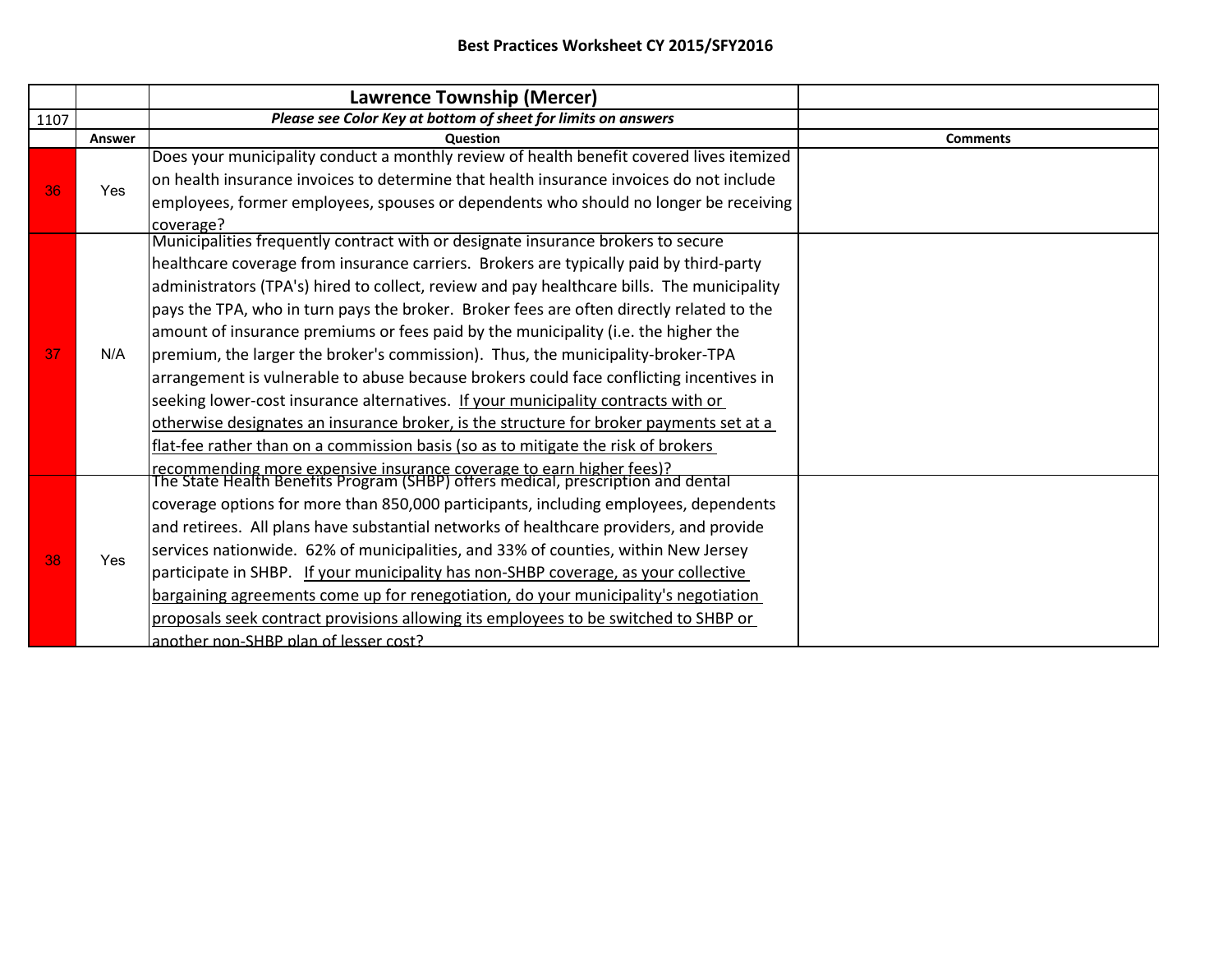|      |        | Lawrence Township (Mercer)                                                                                                                               |                 |
|------|--------|----------------------------------------------------------------------------------------------------------------------------------------------------------|-----------------|
| 1107 |        | Please see Color Key at bottom of sheet for limits on answers                                                                                            |                 |
|      | Answer | <b>Ouestion</b>                                                                                                                                          | <b>Comments</b> |
| 36   |        | Does your municipality conduct a monthly review of health benefit covered lives itemized                                                                 |                 |
|      | Yes    | on health insurance invoices to determine that health insurance invoices do not include                                                                  |                 |
|      |        | employees, former employees, spouses or dependents who should no longer be receiving                                                                     |                 |
|      |        | coverage?                                                                                                                                                |                 |
|      |        | Municipalities frequently contract with or designate insurance brokers to secure                                                                         |                 |
|      |        | healthcare coverage from insurance carriers. Brokers are typically paid by third-party                                                                   |                 |
|      |        | administrators (TPA's) hired to collect, review and pay healthcare bills. The municipality                                                               |                 |
|      |        | pays the TPA, who in turn pays the broker. Broker fees are often directly related to the                                                                 |                 |
|      |        | amount of insurance premiums or fees paid by the municipality (i.e. the higher the                                                                       |                 |
| 37   | N/A    | premium, the larger the broker's commission). Thus, the municipality-broker-TPA                                                                          |                 |
|      |        | arrangement is vulnerable to abuse because brokers could face conflicting incentives in                                                                  |                 |
|      |        | seeking lower-cost insurance alternatives. If your municipality contracts with or                                                                        |                 |
|      |        | otherwise designates an insurance broker, is the structure for broker payments set at a                                                                  |                 |
|      |        | flat-fee rather than on a commission basis (so as to mitigate the risk of brokers                                                                        |                 |
|      |        | recommending more expensive insurance coverage to earn higher fees)?<br>The State Health Benefits Program (SHBP) offers medical, prescription and dental |                 |
|      |        | coverage options for more than 850,000 participants, including employees, dependents                                                                     |                 |
|      |        |                                                                                                                                                          |                 |
|      |        | and retirees. All plans have substantial networks of healthcare providers, and provide                                                                   |                 |
| 38   | Yes    | services nationwide. 62% of municipalities, and 33% of counties, within New Jersey                                                                       |                 |
|      |        | participate in SHBP. If your municipality has non-SHBP coverage, as your collective                                                                      |                 |
|      |        | bargaining agreements come up for renegotiation, do your municipality's negotiation                                                                      |                 |
|      |        | proposals seek contract provisions allowing its employees to be switched to SHBP or                                                                      |                 |
|      |        | another non-SHBP plan of lesser cost?                                                                                                                    |                 |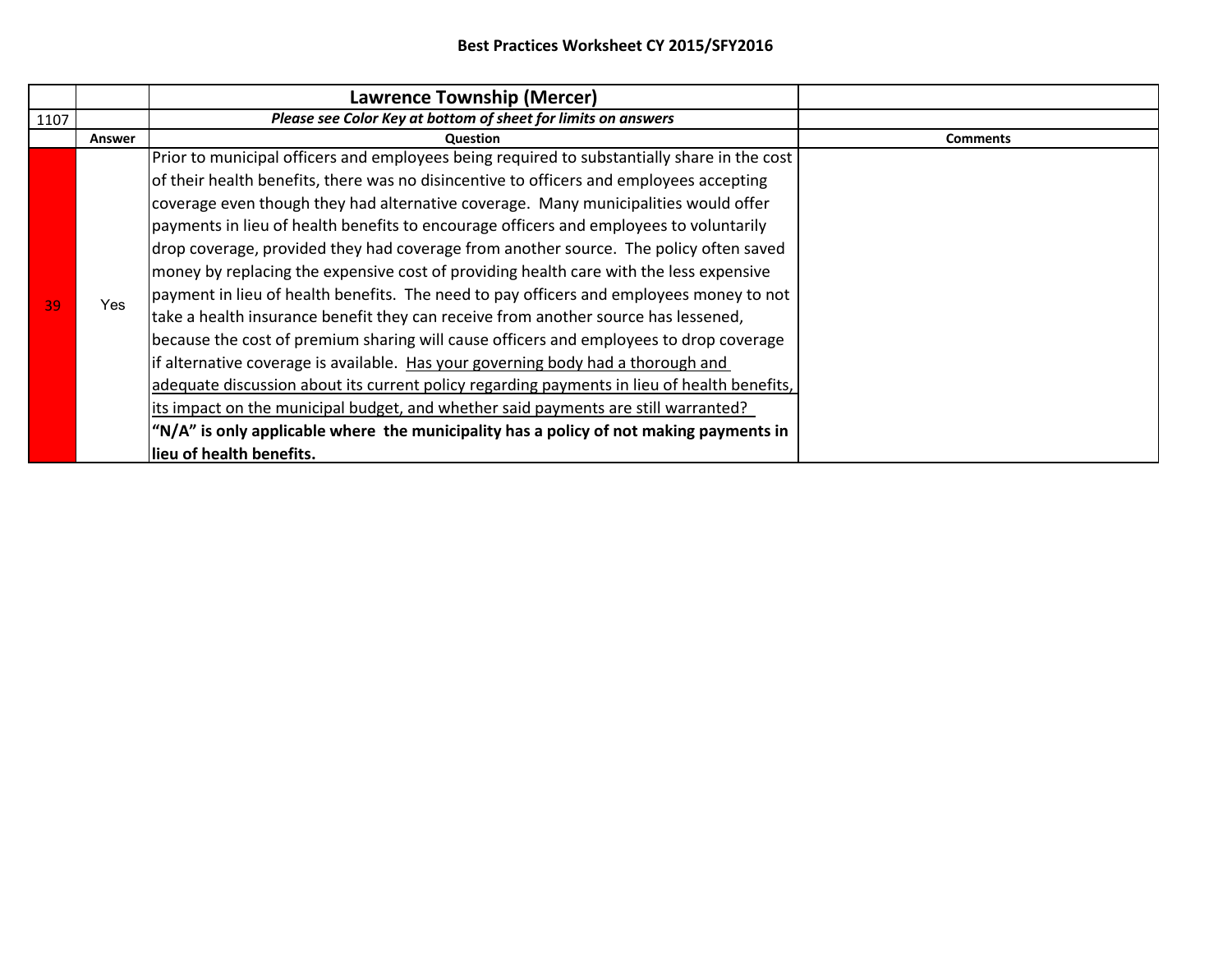|      |        | <b>Lawrence Township (Mercer)</b>                                                                                                                                                                                                                                                                                                                                                                                                                                                                                                                                                                                                                     |                 |
|------|--------|-------------------------------------------------------------------------------------------------------------------------------------------------------------------------------------------------------------------------------------------------------------------------------------------------------------------------------------------------------------------------------------------------------------------------------------------------------------------------------------------------------------------------------------------------------------------------------------------------------------------------------------------------------|-----------------|
| 1107 |        | Please see Color Key at bottom of sheet for limits on answers                                                                                                                                                                                                                                                                                                                                                                                                                                                                                                                                                                                         |                 |
|      | Answer | Question                                                                                                                                                                                                                                                                                                                                                                                                                                                                                                                                                                                                                                              | <b>Comments</b> |
|      |        | Prior to municipal officers and employees being required to substantially share in the cost<br>of their health benefits, there was no disincentive to officers and employees accepting<br>coverage even though they had alternative coverage. Many municipalities would offer<br>payments in lieu of health benefits to encourage officers and employees to voluntarily<br>drop coverage, provided they had coverage from another source. The policy often saved<br>money by replacing the expensive cost of providing health care with the less expensive<br>payment in lieu of health benefits. The need to pay officers and employees money to not |                 |
| 39   | Yes    | take a health insurance benefit they can receive from another source has lessened,<br>because the cost of premium sharing will cause officers and employees to drop coverage<br>if alternative coverage is available. Has your governing body had a thorough and<br>adequate discussion about its current policy regarding payments in lieu of health benefits,<br>its impact on the municipal budget, and whether said payments are still warranted?<br>"N/A" is only applicable where the municipality has a policy of not making payments in<br>lieu of health benefits.                                                                           |                 |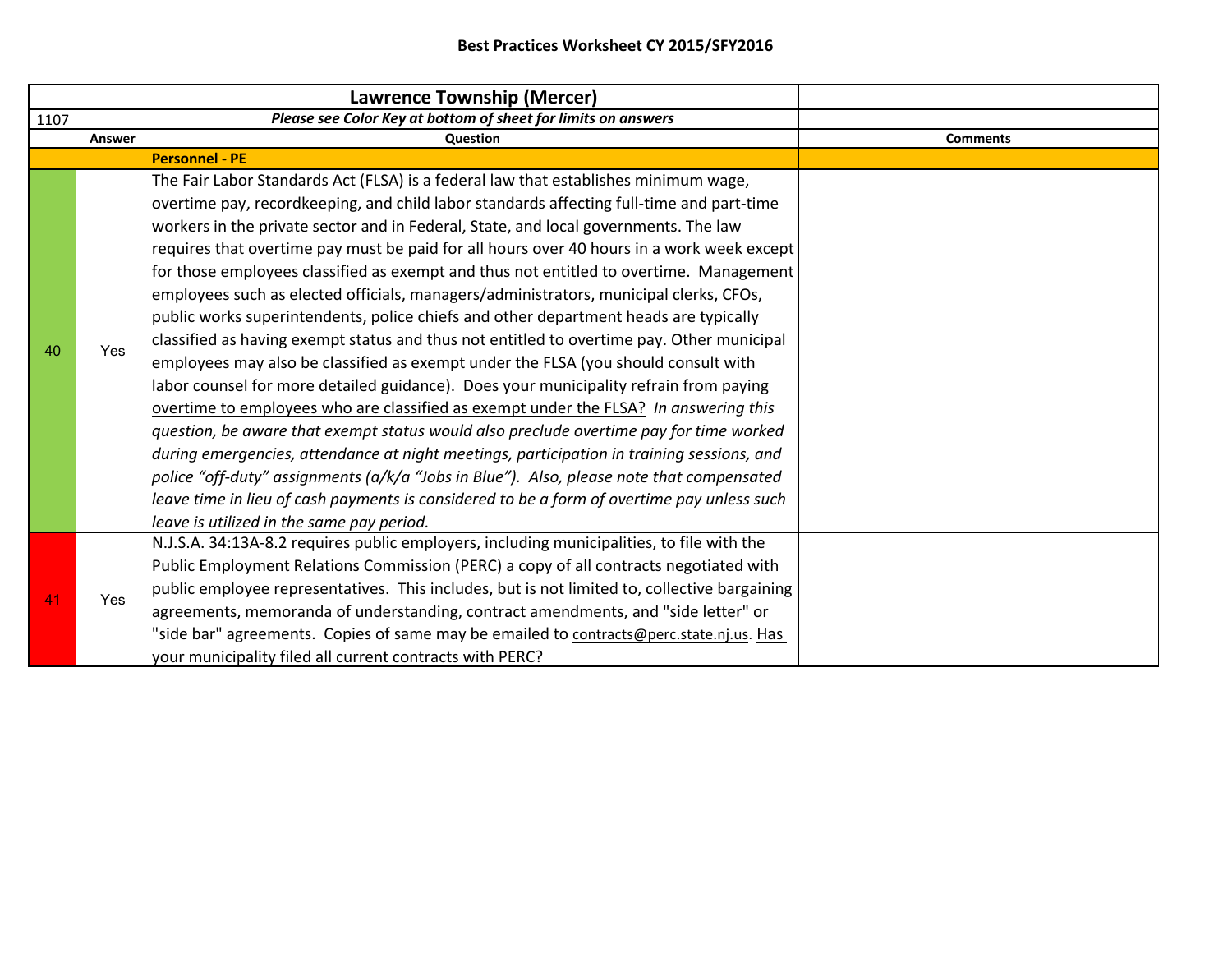|      |        | Lawrence Township (Mercer)                                                                                                                                                                                                                                                                                                                                                                                                                                                                                                                                                                                                                                                                                                                                                                                                                                                                                                                                                                                                                                                                                                                                                                                                                                                                                                                                                                                                                       |                 |
|------|--------|--------------------------------------------------------------------------------------------------------------------------------------------------------------------------------------------------------------------------------------------------------------------------------------------------------------------------------------------------------------------------------------------------------------------------------------------------------------------------------------------------------------------------------------------------------------------------------------------------------------------------------------------------------------------------------------------------------------------------------------------------------------------------------------------------------------------------------------------------------------------------------------------------------------------------------------------------------------------------------------------------------------------------------------------------------------------------------------------------------------------------------------------------------------------------------------------------------------------------------------------------------------------------------------------------------------------------------------------------------------------------------------------------------------------------------------------------|-----------------|
| 1107 |        | Please see Color Key at bottom of sheet for limits on answers                                                                                                                                                                                                                                                                                                                                                                                                                                                                                                                                                                                                                                                                                                                                                                                                                                                                                                                                                                                                                                                                                                                                                                                                                                                                                                                                                                                    |                 |
|      | Answer | <b>Question</b>                                                                                                                                                                                                                                                                                                                                                                                                                                                                                                                                                                                                                                                                                                                                                                                                                                                                                                                                                                                                                                                                                                                                                                                                                                                                                                                                                                                                                                  | <b>Comments</b> |
|      |        | <b>Personnel - PE</b>                                                                                                                                                                                                                                                                                                                                                                                                                                                                                                                                                                                                                                                                                                                                                                                                                                                                                                                                                                                                                                                                                                                                                                                                                                                                                                                                                                                                                            |                 |
| 40   | Yes    | The Fair Labor Standards Act (FLSA) is a federal law that establishes minimum wage,<br>overtime pay, recordkeeping, and child labor standards affecting full-time and part-time<br>workers in the private sector and in Federal, State, and local governments. The law<br>requires that overtime pay must be paid for all hours over 40 hours in a work week except<br>for those employees classified as exempt and thus not entitled to overtime. Management<br>employees such as elected officials, managers/administrators, municipal clerks, CFOs,<br>public works superintendents, police chiefs and other department heads are typically<br>classified as having exempt status and thus not entitled to overtime pay. Other municipal<br>employees may also be classified as exempt under the FLSA (you should consult with<br>labor counsel for more detailed guidance). Does your municipality refrain from paying<br>overtime to employees who are classified as exempt under the FLSA? In answering this<br>question, be aware that exempt status would also preclude overtime pay for time worked<br>during emergencies, attendance at night meetings, participation in training sessions, and<br>police "off-duty" assignments (a/k/a "Jobs in Blue"). Also, please note that compensated<br>leave time in lieu of cash payments is considered to be a form of overtime pay unless such<br>leave is utilized in the same pay period. |                 |
| 41   | Yes    | N.J.S.A. 34:13A-8.2 requires public employers, including municipalities, to file with the<br>Public Employment Relations Commission (PERC) a copy of all contracts negotiated with<br>public employee representatives. This includes, but is not limited to, collective bargaining<br>agreements, memoranda of understanding, contract amendments, and "side letter" or<br>'side bar" agreements. Copies of same may be emailed to contracts@perc.state.nj.us. Has<br>your municipality filed all current contracts with PERC?                                                                                                                                                                                                                                                                                                                                                                                                                                                                                                                                                                                                                                                                                                                                                                                                                                                                                                                   |                 |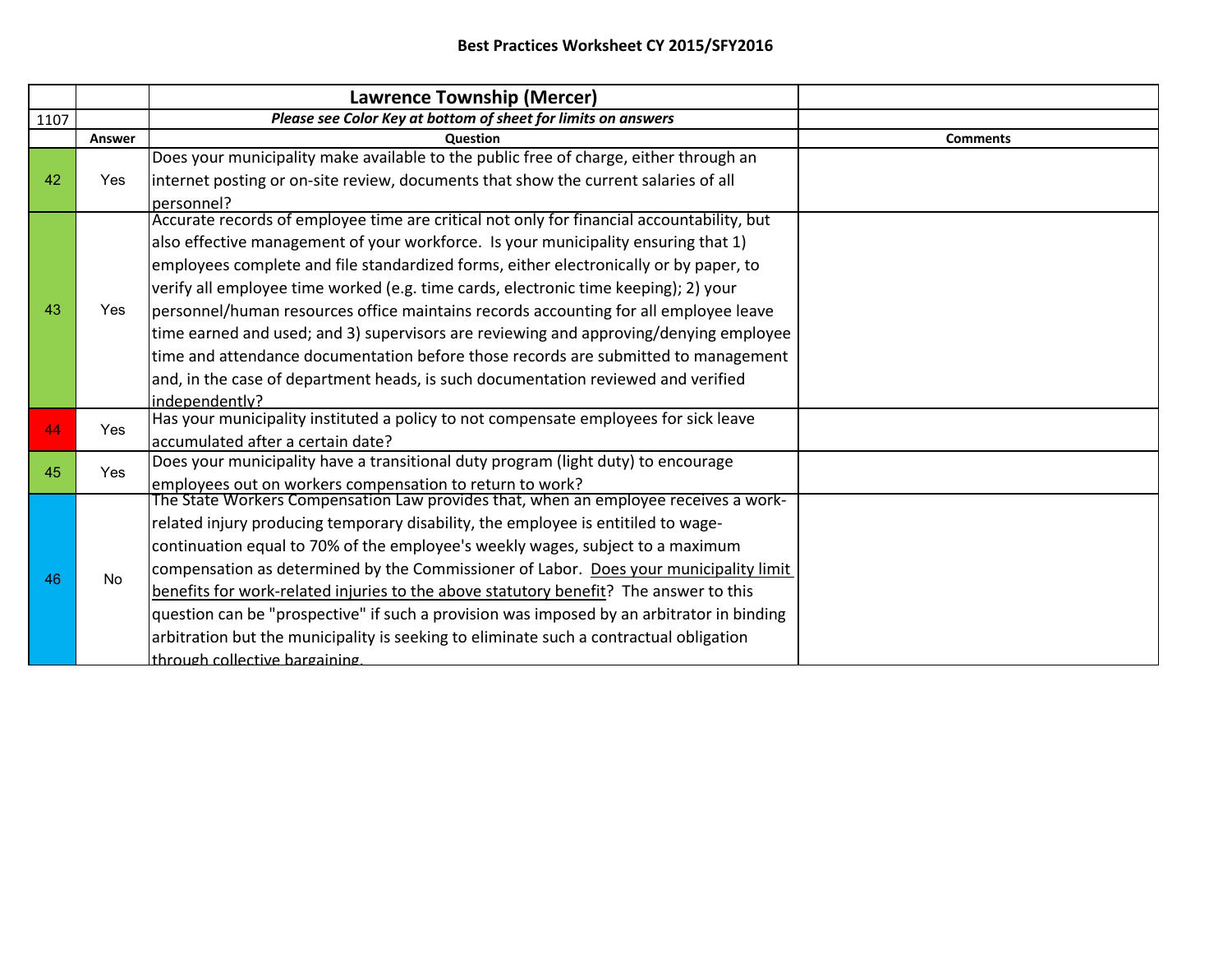|      |            | Lawrence Township (Mercer)                                                                |                 |
|------|------------|-------------------------------------------------------------------------------------------|-----------------|
| 1107 |            | Please see Color Key at bottom of sheet for limits on answers                             |                 |
|      | Answer     | <b>Question</b>                                                                           | <b>Comments</b> |
|      |            | Does your municipality make available to the public free of charge, either through an     |                 |
| 42   | Yes        | internet posting or on-site review, documents that show the current salaries of all       |                 |
|      |            | personnel?                                                                                |                 |
|      |            | Accurate records of employee time are critical not only for financial accountability, but |                 |
|      |            | also effective management of your workforce. Is your municipality ensuring that 1)        |                 |
|      |            | employees complete and file standardized forms, either electronically or by paper, to     |                 |
| 43   | Yes        | verify all employee time worked (e.g. time cards, electronic time keeping); 2) your       |                 |
|      |            | personnel/human resources office maintains records accounting for all employee leave      |                 |
|      |            | time earned and used; and 3) supervisors are reviewing and approving/denying employee     |                 |
|      |            | time and attendance documentation before those records are submitted to management        |                 |
|      |            | and, in the case of department heads, is such documentation reviewed and verified         |                 |
|      |            | independently?                                                                            |                 |
| 44   | <b>Yes</b> | Has your municipality instituted a policy to not compensate employees for sick leave      |                 |
|      |            | accumulated after a certain date?                                                         |                 |
| 45   | <b>Yes</b> | Does your municipality have a transitional duty program (light duty) to encourage         |                 |
|      |            | employees out on workers compensation to return to work?                                  |                 |
|      | No.        | The State Workers Compensation Law provides that, when an employee receives a work-       |                 |
| 46   |            | related injury producing temporary disability, the employee is entitiled to wage-         |                 |
|      |            | continuation equal to 70% of the employee's weekly wages, subject to a maximum            |                 |
|      |            | compensation as determined by the Commissioner of Labor. Does your municipality limit     |                 |
|      |            | benefits for work-related injuries to the above statutory benefit? The answer to this     |                 |
|      |            | question can be "prospective" if such a provision was imposed by an arbitrator in binding |                 |
|      |            | arbitration but the municipality is seeking to eliminate such a contractual obligation    |                 |
|      |            | Ithrough collective bargaining.                                                           |                 |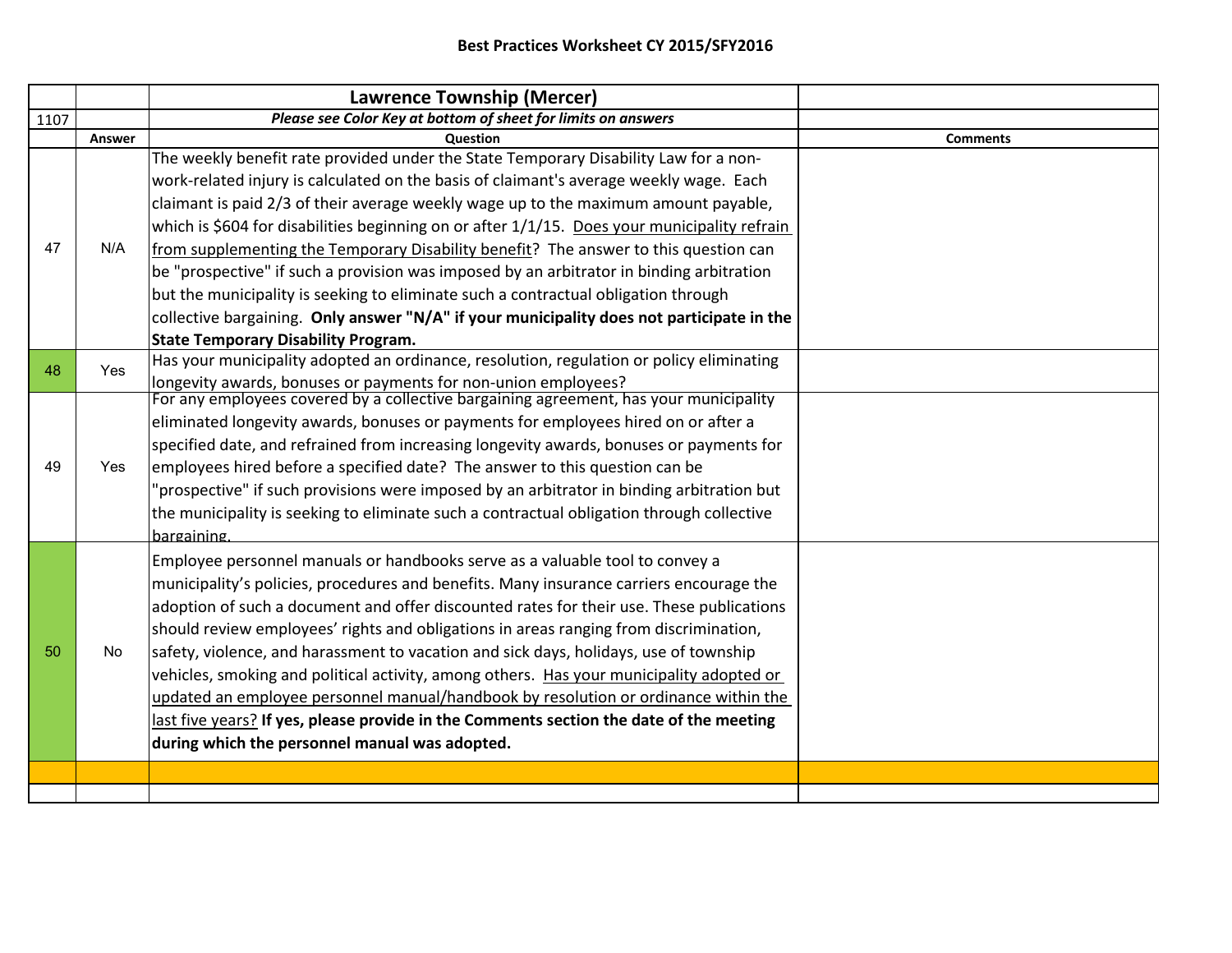|      |        | <b>Lawrence Township (Mercer)</b>                                                            |                 |
|------|--------|----------------------------------------------------------------------------------------------|-----------------|
| 1107 |        | Please see Color Key at bottom of sheet for limits on answers                                |                 |
|      | Answer | Question                                                                                     | <b>Comments</b> |
|      |        | The weekly benefit rate provided under the State Temporary Disability Law for a non-         |                 |
|      |        | work-related injury is calculated on the basis of claimant's average weekly wage. Each       |                 |
|      |        | claimant is paid 2/3 of their average weekly wage up to the maximum amount payable,          |                 |
|      | N/A    | which is \$604 for disabilities beginning on or after 1/1/15. Does your municipality refrain |                 |
| 47   |        | from supplementing the Temporary Disability benefit? The answer to this question can         |                 |
|      |        | be "prospective" if such a provision was imposed by an arbitrator in binding arbitration     |                 |
|      |        | but the municipality is seeking to eliminate such a contractual obligation through           |                 |
|      |        | collective bargaining. Only answer "N/A" if your municipality does not participate in the    |                 |
|      |        | <b>State Temporary Disability Program.</b>                                                   |                 |
| 48   | Yes.   | Has your municipality adopted an ordinance, resolution, regulation or policy eliminating     |                 |
|      |        | longevity awards, bonuses or payments for non-union employees?                               |                 |
|      |        | For any employees covered by a collective bargaining agreement, has your municipality        |                 |
|      |        | eliminated longevity awards, bonuses or payments for employees hired on or after a           |                 |
|      |        | specified date, and refrained from increasing longevity awards, bonuses or payments for      |                 |
| 49   | Yes    | employees hired before a specified date? The answer to this question can be                  |                 |
|      |        | "prospective" if such provisions were imposed by an arbitrator in binding arbitration but    |                 |
|      |        | the municipality is seeking to eliminate such a contractual obligation through collective    |                 |
|      |        | bargaining                                                                                   |                 |
|      |        | Employee personnel manuals or handbooks serve as a valuable tool to convey a                 |                 |
|      |        | municipality's policies, procedures and benefits. Many insurance carriers encourage the      |                 |
|      | No     | adoption of such a document and offer discounted rates for their use. These publications     |                 |
|      |        | should review employees' rights and obligations in areas ranging from discrimination,        |                 |
| 50   |        | safety, violence, and harassment to vacation and sick days, holidays, use of township        |                 |
|      |        | vehicles, smoking and political activity, among others. Has your municipality adopted or     |                 |
|      |        | updated an employee personnel manual/handbook by resolution or ordinance within the          |                 |
|      |        | last five years? If yes, please provide in the Comments section the date of the meeting      |                 |
|      |        | during which the personnel manual was adopted.                                               |                 |
|      |        |                                                                                              |                 |
|      |        |                                                                                              |                 |
|      |        |                                                                                              |                 |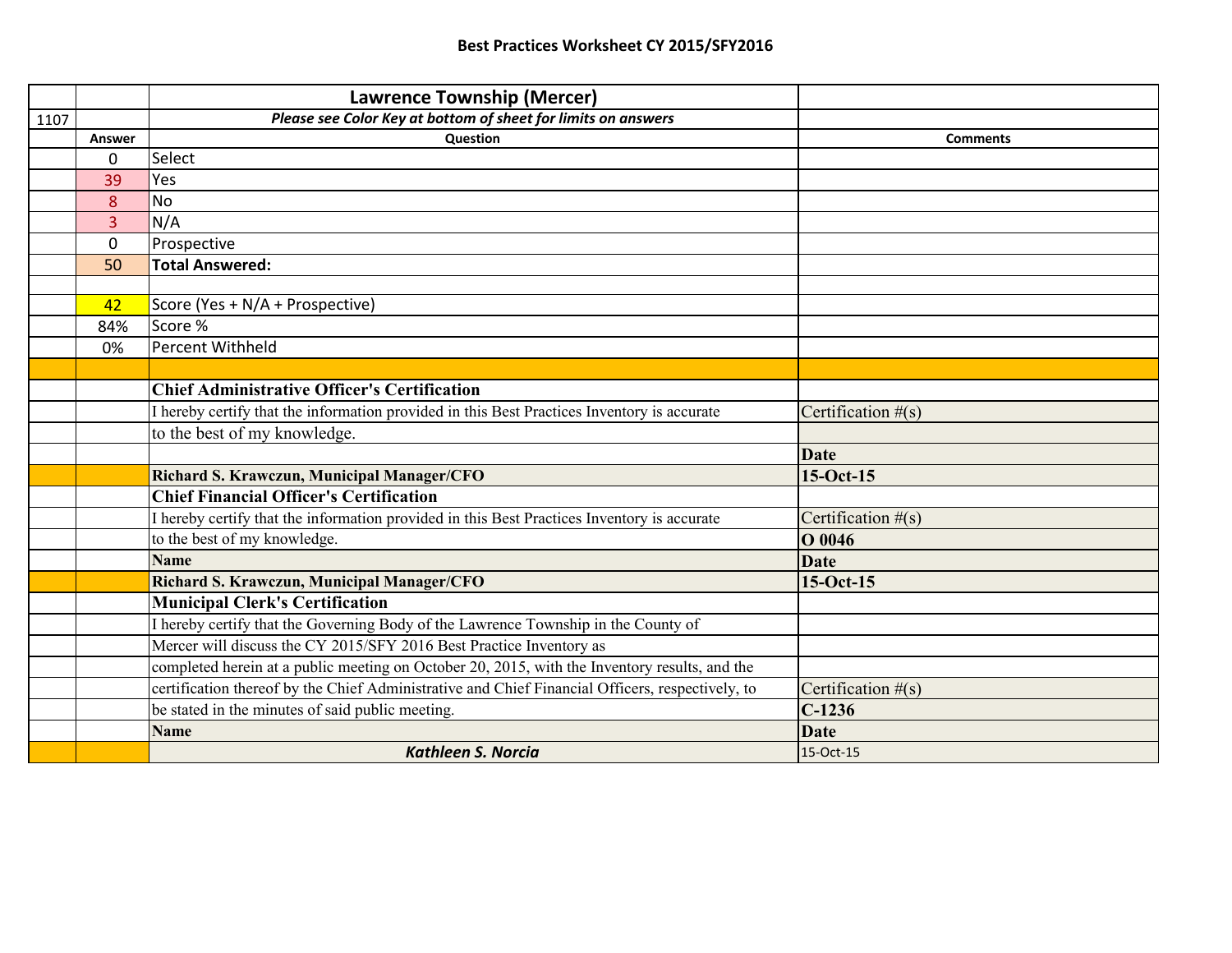|      |                                                                                             | <b>Lawrence Township (Mercer)</b>                                                                |                      |
|------|---------------------------------------------------------------------------------------------|--------------------------------------------------------------------------------------------------|----------------------|
| 1107 |                                                                                             | Please see Color Key at bottom of sheet for limits on answers                                    |                      |
|      | Answer                                                                                      | Question                                                                                         | <b>Comments</b>      |
|      | 0                                                                                           | Select                                                                                           |                      |
|      | 39                                                                                          | Yes                                                                                              |                      |
|      | 8                                                                                           | <b>No</b>                                                                                        |                      |
|      | 3                                                                                           | N/A                                                                                              |                      |
|      | $\mathbf{0}$                                                                                | Prospective                                                                                      |                      |
|      | 50                                                                                          | <b>Total Answered:</b>                                                                           |                      |
|      |                                                                                             |                                                                                                  |                      |
|      | 42                                                                                          | Score (Yes + N/A + Prospective)                                                                  |                      |
|      | 84%                                                                                         | Score %                                                                                          |                      |
|      | 0%                                                                                          | Percent Withheld                                                                                 |                      |
|      |                                                                                             |                                                                                                  |                      |
|      |                                                                                             | <b>Chief Administrative Officer's Certification</b>                                              |                      |
|      | I hereby certify that the information provided in this Best Practices Inventory is accurate |                                                                                                  | Certification $#(s)$ |
|      |                                                                                             | to the best of my knowledge.                                                                     |                      |
|      |                                                                                             |                                                                                                  | <b>Date</b>          |
|      |                                                                                             | Richard S. Krawczun, Municipal Manager/CFO                                                       | 15-Oct-15            |
|      |                                                                                             | <b>Chief Financial Officer's Certification</b>                                                   |                      |
|      | I hereby certify that the information provided in this Best Practices Inventory is accurate |                                                                                                  | Certification $#(s)$ |
|      |                                                                                             | to the best of my knowledge.                                                                     | O 0046               |
|      |                                                                                             | <b>Name</b>                                                                                      | <b>Date</b>          |
|      |                                                                                             | Richard S. Krawczun, Municipal Manager/CFO                                                       | 15-Oct-15            |
|      |                                                                                             | <b>Municipal Clerk's Certification</b>                                                           |                      |
|      |                                                                                             | I hereby certify that the Governing Body of the Lawrence Township in the County of               |                      |
|      |                                                                                             | Mercer will discuss the CY 2015/SFY 2016 Best Practice Inventory as                              |                      |
|      |                                                                                             | completed herein at a public meeting on October 20, 2015, with the Inventory results, and the    |                      |
|      |                                                                                             | certification thereof by the Chief Administrative and Chief Financial Officers, respectively, to | Certification $#(s)$ |
|      |                                                                                             | be stated in the minutes of said public meeting.                                                 | $C-1236$             |
|      |                                                                                             | <b>Name</b>                                                                                      | <b>Date</b>          |
|      |                                                                                             | <b>Kathleen S. Norcia</b>                                                                        | 15-Oct-15            |